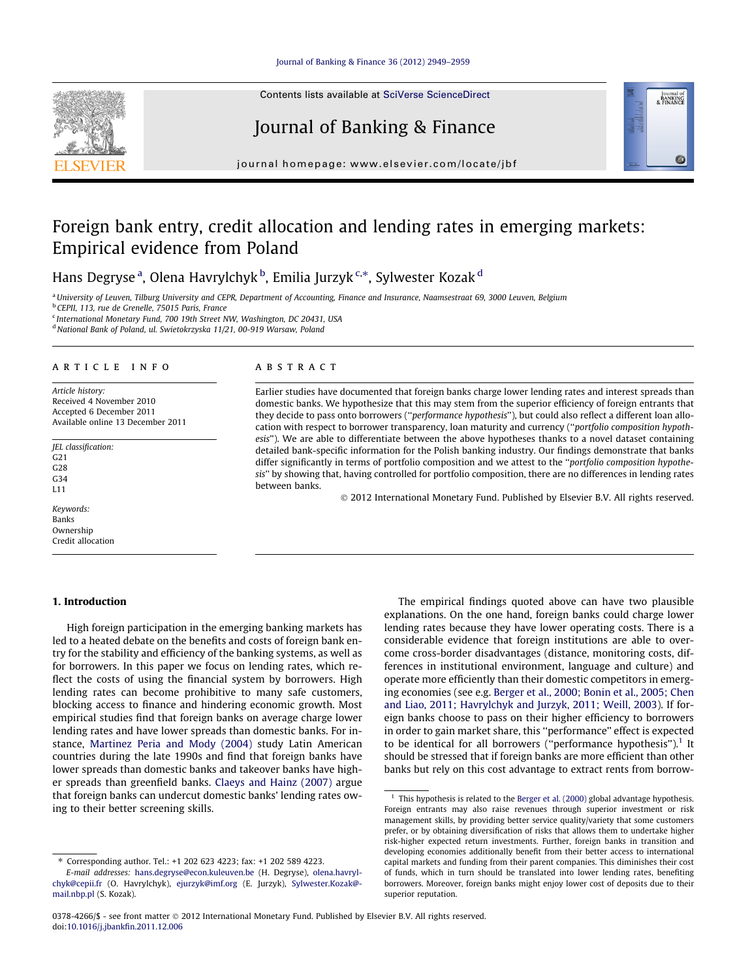#### [Journal of Banking & Finance 36 \(2012\) 2949–2959](http://dx.doi.org/10.1016/j.jbankfin.2011.12.006)

Contents lists available at [SciVerse ScienceDirect](http://www.sciencedirect.com/science/journal/03784266)

# Journal of Banking & Finance

journal homepage: [www.elsevier.com/locate/jbf](http://www.elsevier.com/locate/jbf)

# Foreign bank entry, credit allocation and lending rates in emerging markets: Empirical evidence from Poland

Hans Degryse <sup>a</sup>, Olena Havrylchyk <sup>b</sup>, Emilia Jurzyk <sup>c,</sup>\*, Sylwester Kozak <sup>d</sup>

<sup>a</sup> University of Leuven, Tilburg University and CEPR, Department of Accounting, Finance and Insurance, Naamsestraat 69, 3000 Leuven, Belgium <sup>b</sup> CEPII, 113, rue de Grenelle, 75015 Paris, France <sup>c</sup> International Monetary Fund, 700 19th Street NW, Washington, DC 20431, USA

<sup>d</sup> National Bank of Poland, ul. Swietokrzyska 11/21, 00-919 Warsaw, Poland

## article info

Article history: Received 4 November 2010 Accepted 6 December 2011 Available online 13 December 2011

JEL classification: G21 G28 G34 L11

Keywords: Banks Ownership Credit allocation

# 1. Introduction

High foreign participation in the emerging banking markets has led to a heated debate on the benefits and costs of foreign bank entry for the stability and efficiency of the banking systems, as well as for borrowers. In this paper we focus on lending rates, which reflect the costs of using the financial system by borrowers. High lending rates can become prohibitive to many safe customers, blocking access to finance and hindering economic growth. Most empirical studies find that foreign banks on average charge lower lending rates and have lower spreads than domestic banks. For instance, [Martinez Peria and Mody \(2004\)](#page--1-0) study Latin American countries during the late 1990s and find that foreign banks have lower spreads than domestic banks and takeover banks have higher spreads than greenfield banks. [Claeys and Hainz \(2007\)](#page--1-0) argue that foreign banks can undercut domestic banks' lending rates owing to their better screening skills.

Corresponding author. Tel.: +1 202 623 4223; fax: +1 202 589 4223.

## **ABSTRACT**

Earlier studies have documented that foreign banks charge lower lending rates and interest spreads than domestic banks. We hypothesize that this may stem from the superior efficiency of foreign entrants that they decide to pass onto borrowers ("performance hypothesis"), but could also reflect a different loan allocation with respect to borrower transparency, loan maturity and currency (''portfolio composition hypothesis''). We are able to differentiate between the above hypotheses thanks to a novel dataset containing detailed bank-specific information for the Polish banking industry. Our findings demonstrate that banks differ significantly in terms of portfolio composition and we attest to the ''portfolio composition hypothesis'' by showing that, having controlled for portfolio composition, there are no differences in lending rates between banks.

- 2012 International Monetary Fund. Published by Elsevier B.V. All rights reserved.

The empirical findings quoted above can have two plausible explanations. On the one hand, foreign banks could charge lower lending rates because they have lower operating costs. There is a considerable evidence that foreign institutions are able to overcome cross-border disadvantages (distance, monitoring costs, differences in institutional environment, language and culture) and operate more efficiently than their domestic competitors in emerging economies (see e.g. [Berger et al., 2000; Bonin et al., 2005; Chen](#page--1-0) [and Liao, 2011; Havrylchyk and Jurzyk, 2011; Weill, 2003\)](#page--1-0). If foreign banks choose to pass on their higher efficiency to borrowers in order to gain market share, this ''performance'' effect is expected to be identical for all borrowers ("performance hypothesis").<sup>1</sup> It should be stressed that if foreign banks are more efficient than other banks but rely on this cost advantage to extract rents from borrow-





E-mail addresses: [hans.degryse@econ.kuleuven.be](mailto:hans.degryse@econ.kuleuven.be) (H. Degryse), [olena.havryl](mailto:olena.havrylchyk@cepii.fr)[chyk@cepii.fr](mailto:olena.havrylchyk@cepii.fr) (O. Havrylchyk), [ejurzyk@imf.org](mailto:ejurzyk@imf.org) (E. Jurzyk), [Sylwester.Kozak@](mailto:Sylwester.Kozak@mail.nbp.pl) [mail.nbp.pl](mailto:Sylwester.Kozak@mail.nbp.pl) (S. Kozak).

 $1$  This hypothesis is related to the [Berger et al. \(2000\)](#page--1-0) global advantage hypothesis. Foreign entrants may also raise revenues through superior investment or risk management skills, by providing better service quality/variety that some customers prefer, or by obtaining diversification of risks that allows them to undertake higher risk-higher expected return investments. Further, foreign banks in transition and developing economies additionally benefit from their better access to international capital markets and funding from their parent companies. This diminishes their cost of funds, which in turn should be translated into lower lending rates, benefiting borrowers. Moreover, foreign banks might enjoy lower cost of deposits due to their superior reputation.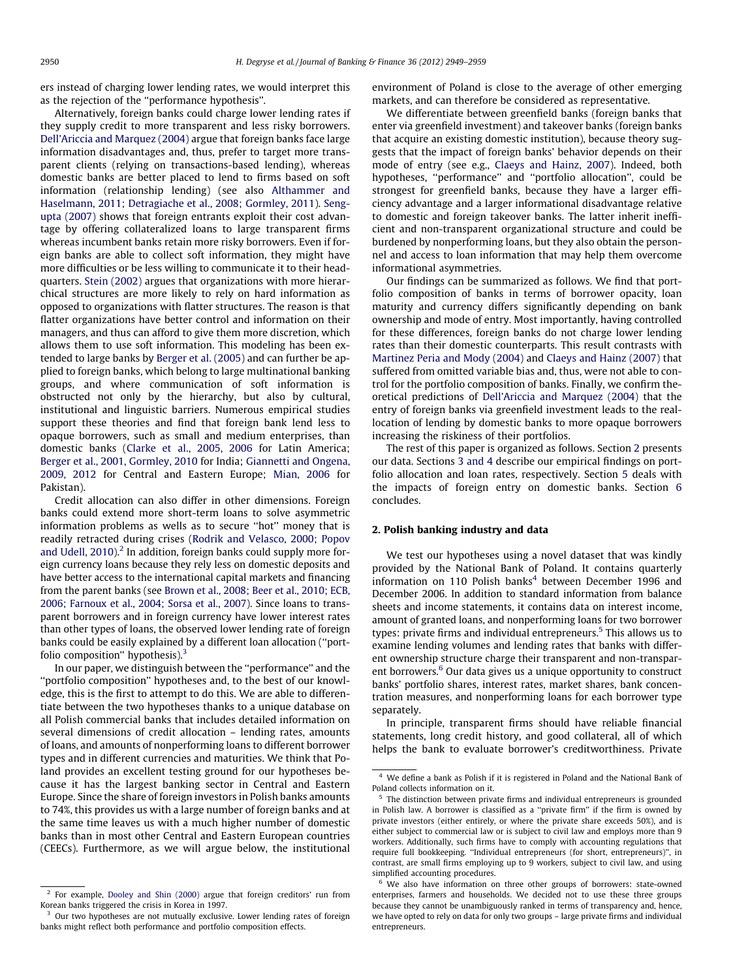ers instead of charging lower lending rates, we would interpret this as the rejection of the ''performance hypothesis''.

Alternatively, foreign banks could charge lower lending rates if they supply credit to more transparent and less risky borrowers. [Dell'Ariccia and Marquez \(2004\)](#page--1-0) argue that foreign banks face large information disadvantages and, thus, prefer to target more transparent clients (relying on transactions-based lending), whereas domestic banks are better placed to lend to firms based on soft information (relationship lending) (see also [Althammer and](#page--1-0) [Haselmann, 2011; Detragiache et al., 2008; Gormley, 2011](#page--1-0)). [Seng](#page--1-0)[upta \(2007\)](#page--1-0) shows that foreign entrants exploit their cost advantage by offering collateralized loans to large transparent firms whereas incumbent banks retain more risky borrowers. Even if foreign banks are able to collect soft information, they might have more difficulties or be less willing to communicate it to their headquarters. [Stein \(2002\)](#page--1-0) argues that organizations with more hierarchical structures are more likely to rely on hard information as opposed to organizations with flatter structures. The reason is that flatter organizations have better control and information on their managers, and thus can afford to give them more discretion, which allows them to use soft information. This modeling has been extended to large banks by [Berger et al. \(2005\)](#page--1-0) and can further be applied to foreign banks, which belong to large multinational banking groups, and where communication of soft information is obstructed not only by the hierarchy, but also by cultural, institutional and linguistic barriers. Numerous empirical studies support these theories and find that foreign bank lend less to opaque borrowers, such as small and medium enterprises, than domestic banks ([Clarke et al., 2005, 2006](#page--1-0) for Latin America; [Berger et al., 2001, Gormley, 2010](#page--1-0) for India; [Giannetti and Ongena,](#page--1-0) [2009, 2012](#page--1-0) for Central and Eastern Europe; [Mian, 2006](#page--1-0) for Pakistan).

Credit allocation can also differ in other dimensions. Foreign banks could extend more short-term loans to solve asymmetric information problems as wells as to secure ''hot'' money that is readily retracted during crises [\(Rodrik and Velasco, 2000; Popov](#page--1-0) and Udell,  $2010$ ).<sup>2</sup> In addition, foreign banks could supply more foreign currency loans because they rely less on domestic deposits and have better access to the international capital markets and financing from the parent banks (see [Brown et al., 2008; Beer et al., 2010; ECB,](#page--1-0) [2006; Farnoux et al., 2004; Sorsa et al., 2007\)](#page--1-0). Since loans to transparent borrowers and in foreign currency have lower interest rates than other types of loans, the observed lower lending rate of foreign banks could be easily explained by a different loan allocation (''portfolio composition" hypothesis). $3$ 

In our paper, we distinguish between the ''performance'' and the ''portfolio composition'' hypotheses and, to the best of our knowledge, this is the first to attempt to do this. We are able to differentiate between the two hypotheses thanks to a unique database on all Polish commercial banks that includes detailed information on several dimensions of credit allocation – lending rates, amounts of loans, and amounts of nonperforming loans to different borrower types and in different currencies and maturities. We think that Poland provides an excellent testing ground for our hypotheses because it has the largest banking sector in Central and Eastern Europe. Since the share of foreign investors in Polish banks amounts to 74%, this provides us with a large number of foreign banks and at the same time leaves us with a much higher number of domestic banks than in most other Central and Eastern European countries (CEECs). Furthermore, as we will argue below, the institutional environment of Poland is close to the average of other emerging markets, and can therefore be considered as representative.

We differentiate between greenfield banks (foreign banks that enter via greenfield investment) and takeover banks (foreign banks that acquire an existing domestic institution), because theory suggests that the impact of foreign banks' behavior depends on their mode of entry (see e.g., [Claeys and Hainz, 2007](#page--1-0)). Indeed, both hypotheses, ''performance'' and ''portfolio allocation'', could be strongest for greenfield banks, because they have a larger efficiency advantage and a larger informational disadvantage relative to domestic and foreign takeover banks. The latter inherit inefficient and non-transparent organizational structure and could be burdened by nonperforming loans, but they also obtain the personnel and access to loan information that may help them overcome informational asymmetries.

Our findings can be summarized as follows. We find that portfolio composition of banks in terms of borrower opacity, loan maturity and currency differs significantly depending on bank ownership and mode of entry. Most importantly, having controlled for these differences, foreign banks do not charge lower lending rates than their domestic counterparts. This result contrasts with [Martinez Peria and Mody \(2004\)](#page--1-0) and [Claeys and Hainz \(2007\)](#page--1-0) that suffered from omitted variable bias and, thus, were not able to control for the portfolio composition of banks. Finally, we confirm theoretical predictions of [Dell'Ariccia and Marquez \(2004\)](#page--1-0) that the entry of foreign banks via greenfield investment leads to the reallocation of lending by domestic banks to more opaque borrowers increasing the riskiness of their portfolios.

The rest of this paper is organized as follows. Section 2 presents our data. Sections [3 and 4](#page--1-0) describe our empirical findings on portfolio allocation and loan rates, respectively. Section [5](#page--1-0) deals with the impacts of foreign entry on domestic banks. Section [6](#page--1-0) concludes.

### 2. Polish banking industry and data

We test our hypotheses using a novel dataset that was kindly provided by the National Bank of Poland. It contains quarterly information on 110 Polish banks $4$  between December 1996 and December 2006. In addition to standard information from balance sheets and income statements, it contains data on interest income, amount of granted loans, and nonperforming loans for two borrower types: private firms and individual entrepreneurs.<sup>5</sup> This allows us to examine lending volumes and lending rates that banks with different ownership structure charge their transparent and non-transparent borrowers.<sup>6</sup> Our data gives us a unique opportunity to construct banks' portfolio shares, interest rates, market shares, bank concentration measures, and nonperforming loans for each borrower type separately.

In principle, transparent firms should have reliable financial statements, long credit history, and good collateral, all of which helps the bank to evaluate borrower's creditworthiness. Private

<sup>2</sup> For example, [Dooley and Shin \(2000\)](#page--1-0) argue that foreign creditors' run from Korean banks triggered the crisis in Korea in 1997.

<sup>&</sup>lt;sup>3</sup> Our two hypotheses are not mutually exclusive. Lower lending rates of foreign banks might reflect both performance and portfolio composition effects.

 $^4\,$  We define a bank as Polish if it is registered in Poland and the National Bank of Poland collects information on it.

<sup>&</sup>lt;sup>5</sup> The distinction between private firms and individual entrepreneurs is grounded in Polish law. A borrower is classified as a ''private firm'' if the firm is owned by private investors (either entirely, or where the private share exceeds 50%), and is either subject to commercial law or is subject to civil law and employs more than 9 workers. Additionally, such firms have to comply with accounting regulations that require full bookkeeping. ''Individual entrepreneurs (for short, entrepreneurs)'', in contrast, are small firms employing up to 9 workers, subject to civil law, and using simplified accounting procedures.

<sup>&</sup>lt;sup>6</sup> We also have information on three other groups of borrowers: state-owned enterprises, farmers and households. We decided not to use these three groups because they cannot be unambiguously ranked in terms of transparency and, hence, we have opted to rely on data for only two groups – large private firms and individual entrepreneurs.